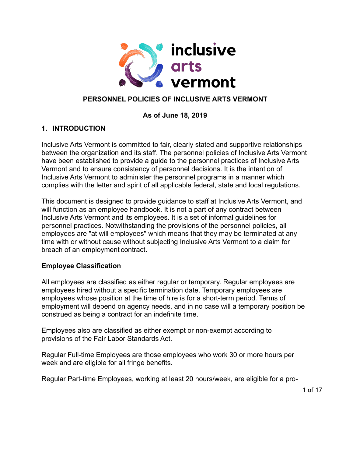

# **PERSONNEL POLICIES OF INCLUSIVE ARTS VERMONT**

### **As of June 18, 2019**

### **1. INTRODUCTION**

Inclusive Arts Vermont is committed to fair, clearly stated and supportive relationships between the organization and its staff. The personnel policies of Inclusive Arts Vermont have been established to provide a guide to the personnel practices of Inclusive Arts Vermont and to ensure consistency of personnel decisions. It is the intention of Inclusive Arts Vermont to administer the personnel programs in a manner which complies with the letter and spirit of all applicable federal, state and local regulations.

This document is designed to provide guidance to staff at Inclusive Arts Vermont, and will function as an employee handbook. It is not a part of any contract between Inclusive Arts Vermont and its employees. It is a set of informal guidelines for personnel practices. Notwithstanding the provisions of the personnel policies, all employees are "at will employees" which means that they may be terminated at any time with or without cause without subjecting Inclusive Arts Vermont to a claim for breach of an employment contract.

### **Employee Classification**

All employees are classified as either regular or temporary. Regular employees are employees hired without a specific termination date. Temporary employees are employees whose position at the time of hire is for a short-term period. Terms of employment will depend on agency needs, and in no case will a temporary position be construed as being a contract for an indefinite time.

Employees also are classified as either exempt or non-exempt according to provisions of the Fair Labor Standards Act.

Regular Full-time Employees are those employees who work 30 or more hours per week and are eligible for all fringe benefits.

Regular Part-time Employees, working at least 20 hours/week, are eligible for a pro-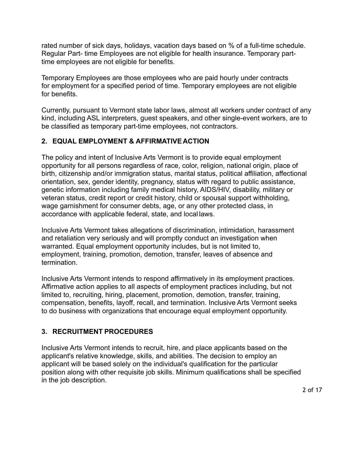rated number of sick days, holidays, vacation days based on % of a full-time schedule. Regular Part- time Employees are not eligible for health insurance. Temporary parttime employees are not eligible for benefits.

Temporary Employees are those employees who are paid hourly under contracts for employment for a specified period of time. Temporary employees are not eligible for benefits.

Currently, pursuant to Vermont state labor laws, almost all workers under contract of any kind, including ASL interpreters, guest speakers, and other single-event workers, are to be classified as temporary part-time employees, not contractors.

### **2. EQUAL EMPLOYMENT & AFFIRMATIVE ACTION**

The policy and intent of Inclusive Arts Vermont is to provide equal employment opportunity for all persons regardless of race, color, religion, national origin, place of birth, citizenship and/or immigration status, marital status, political affiliation, affectional orientation, sex, gender identity, pregnancy, status with regard to public assistance, genetic information including family medical history, AIDS/HIV, disability, military or veteran status, credit report or credit history, child or spousal support withholding, wage garnishment for consumer debts, age, or any other protected class, in accordance with applicable federal, state, and local laws.

Inclusive Arts Vermont takes allegations of discrimination, intimidation, harassment and retaliation very seriously and will promptly conduct an investigation when warranted. Equal employment opportunity includes, but is not limited to, employment, training, promotion, demotion, transfer, leaves of absence and termination.

Inclusive Arts Vermont intends to respond affirmatively in its employment practices. Affirmative action applies to all aspects of employment practices including, but not limited to, recruiting, hiring, placement, promotion, demotion, transfer, training, compensation, benefits, layoff, recall, and termination. Inclusive Arts Vermont seeks to do business with organizations that encourage equal employment opportunity.

### **3. RECRUITMENT PROCEDURES**

Inclusive Arts Vermont intends to recruit, hire, and place applicants based on the applicant's relative knowledge, skills, and abilities. The decision to employ an applicant will be based solely on the individual's qualification for the particular position along with other requisite job skills. Minimum qualifications shall be specified in the job description.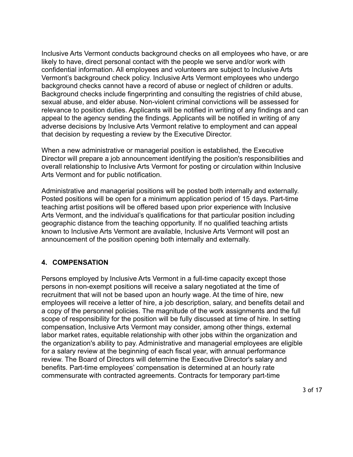Inclusive Arts Vermont conducts background checks on all employees who have, or are likely to have, direct personal contact with the people we serve and/or work with confidential information. All employees and volunteers are subject to Inclusive Arts Vermont's background check policy. Inclusive Arts Vermont employees who undergo background checks cannot have a record of abuse or neglect of children or adults. Background checks include fingerprinting and consulting the registries of child abuse, sexual abuse, and elder abuse. Non-violent criminal convictions will be assessed for relevance to position duties. Applicants will be notified in writing of any findings and can appeal to the agency sending the findings. Applicants will be notified in writing of any adverse decisions by Inclusive Arts Vermont relative to employment and can appeal that decision by requesting a review by the Executive Director.

When a new administrative or managerial position is established, the Executive Director will prepare a job announcement identifying the position's responsibilities and overall relationship to Inclusive Arts Vermont for posting or circulation within Inclusive Arts Vermont and for public notification.

Administrative and managerial positions will be posted both internally and externally. Posted positions will be open for a minimum application period of 15 days. Part-time teaching artist positions will be offered based upon prior experience with Inclusive Arts Vermont, and the individual's qualifications for that particular position including geographic distance from the teaching opportunity. If no qualified teaching artists known to Inclusive Arts Vermont are available, Inclusive Arts Vermont will post an announcement of the position opening both internally and externally.

### **4. COMPENSATION**

Persons employed by Inclusive Arts Vermont in a full-time capacity except those persons in non-exempt positions will receive a salary negotiated at the time of recruitment that will not be based upon an hourly wage. At the time of hire, new employees will receive a letter of hire, a job description, salary, and benefits detail and a copy of the personnel policies. The magnitude of the work assignments and the full scope of responsibility for the position will be fully discussed at time of hire. In setting compensation, Inclusive Arts Vermont may consider, among other things, external labor market rates, equitable relationship with other jobs within the organization and the organization's ability to pay. Administrative and managerial employees are eligible for a salary review at the beginning of each fiscal year, with annual performance review. The Board of Directors will determine the Executive Director's salary and benefits. Part-time employees' compensation is determined at an hourly rate commensurate with contracted agreements. Contracts for temporary part-time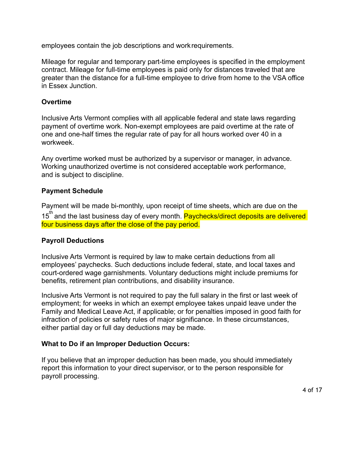employees contain the job descriptions and workrequirements.

Mileage for regular and temporary part-time employees is specified in the employment contract. Mileage for full-time employees is paid only for distances traveled that are greater than the distance for a full-time employee to drive from home to the VSA office in Essex Junction.

### **Overtime**

Inclusive Arts Vermont complies with all applicable federal and state laws regarding payment of overtime work. Non-exempt employees are paid overtime at the rate of one and one-half times the regular rate of pay for all hours worked over 40 in a workweek.

Any overtime worked must be authorized by a supervisor or manager, in advance. Working unauthorized overtime is not considered acceptable work performance, and is subject to discipline.

### **Payment Schedule**

Payment will be made bi-monthly, upon receipt of time sheets, which are due on the 15<sup>th</sup> and the last business day of every month. Paychecks/direct deposits are delivered four business days after the close of the pay period.

### **Payroll Deductions**

Inclusive Arts Vermont is required by law to make certain deductions from all employees' paychecks. Such deductions include federal, state, and local taxes and court-ordered wage garnishments. Voluntary deductions might include premiums for benefits, retirement plan contributions, and disability insurance.

Inclusive Arts Vermont is not required to pay the full salary in the first or last week of employment; for weeks in which an exempt employee takes unpaid leave under the Family and Medical Leave Act, if applicable; or for penalties imposed in good faith for infraction of policies or safety rules of major significance. In these circumstances, either partial day or full day deductions may be made.

### **What to Do if an Improper Deduction Occurs:**

If you believe that an improper deduction has been made, you should immediately report this information to your direct supervisor, or to the person responsible for payroll processing.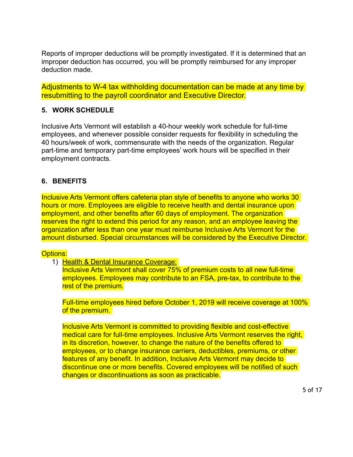Reports of improper deductions will be promptly investigated. If it is determined that an improper deduction has occurred, you will be promptly reimbursed for any improper deduction made.

Adjustments to W-4 tax withholding documentation can be made at any time by resubmitting to the payroll coordinator and Executive Director.

### **5. WORK SCHEDULE**

Inclusive Arts Vermont will establish a 40-hour weekly work schedule for full-time employees, and whenever possible consider requests for flexibility in scheduling the 40 hours/week of work, commensurate with the needs of the organization. Regular part-time and temporary part-time employees' work hours will be specified in their employment contracts.

### **6. BENEFITS**

Inclusive Arts Vermont offers cafeteria plan style of benefits to anyone who works 30 hours or more. Employees are eligible to receive health and dental insurance upon employment, and other benefits after 60 days of employment. The organization reserves the right to extend this period for any reason, and an employee leaving the organization after less than one year must reimburse Inclusive Arts Vermont for the amount disbursed. Special circumstances will be considered by the Executive Director.

### Options:

1) Health & Dental Insurance Coverage:

Inclusive Arts Vermont shall cover 75% of premium costs to all new full-time employees. Employees may contribute to an FSA, pre-tax, to contribute to the rest of the premium.

Full-time employees hired before October 1, 2019 will receive coverage at 100% of the premium.

Inclusive Arts Vermont is committed to providing flexible and cost-effective medical care for full-time employees. Inclusive Arts Vermont reserves the right, in its discretion, however, to change the nature of the benefits offered to employees, or to change insurance carriers, deductibles, premiums, or other features of any benefit. In addition, Inclusive Arts Vermont may decide to discontinue one or more benefits. Covered employees will be notified of such changes or discontinuations as soon as practicable.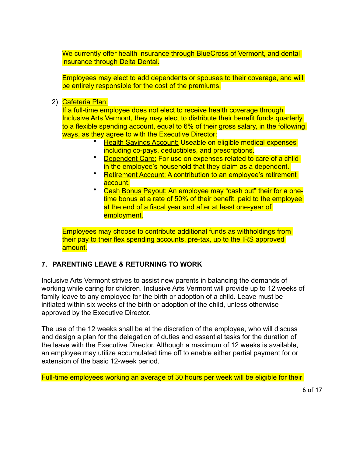We currently offer health insurance through BlueCross of Vermont, and dental insurance through Delta Dental.

Employees may elect to add dependents or spouses to their coverage, and will be entirely responsible for the cost of the premiums.

2) Cafeteria Plan:

If a full-time employee does not elect to receive health coverage through Inclusive Arts Vermont, they may elect to distribute their benefit funds quarterly to a flexible spending account, equal to 6% of their gross salary, in the following ways, as they agree to with the Executive Director:

- Health Savings Account: Useable on eligible medical expenses including co-pays, deductibles, and prescriptions.
- **Dependent Care: For use on expenses related to care of a child** in the employee's household that they claim as a dependent.
- Retirement Account: A contribution to an employee's retirement account.
- Cash Bonus Payout: An employee may "cash out" their for a onetime bonus at a rate of 50% of their benefit, paid to the employee at the end of a fiscal year and after at least one-year of employment.

Employees may choose to contribute additional funds as withholdings from their pay to their flex spending accounts, pre-tax, up to the IRS approved amount.

### **7. PARENTING LEAVE & RETURNING TO WORK**

Inclusive Arts Vermont strives to assist new parents in balancing the demands of working while caring for children. Inclusive Arts Vermont will provide up to 12 weeks of family leave to any employee for the birth or adoption of a child. Leave must be initiated within six weeks of the birth or adoption of the child, unless otherwise approved by the Executive Director.

The use of the 12 weeks shall be at the discretion of the employee, who will discuss and design a plan for the delegation of duties and essential tasks for the duration of the leave with the Executive Director. Although a maximum of 12 weeks is available, an employee may utilize accumulated time off to enable either partial payment for or extension of the basic 12-week period.

Full-time employees working an average of 30 hours per week will be eligible for their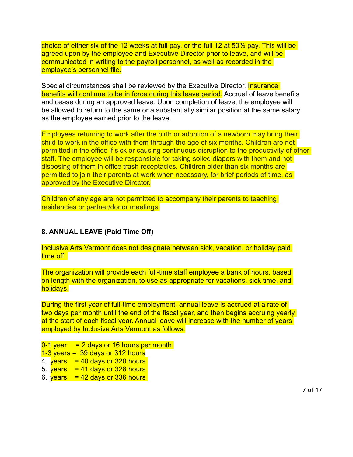choice of either six of the 12 weeks at full pay, or the full 12 at 50% pay. This will be agreed upon by the employee and Executive Director prior to leave, and will be communicated in writing to the payroll personnel, as well as recorded in the employee's personnel file.

Special circumstances shall be reviewed by the Executive Director. **Insurance** benefits will continue to be in force during this leave period. Accrual of leave benefits and cease during an approved leave. Upon completion of leave, the employee will be allowed to return to the same or a substantially similar position at the same salary as the employee earned prior to the leave.

Employees returning to work after the birth or adoption of a newborn may bring their child to work in the office with them through the age of six months. Children are not permitted in the office if sick or causing continuous disruption to the productivity of other staff. The employee will be responsible for taking soiled diapers with them and not disposing of them in office trash receptacles. Children older than six months are permitted to join their parents at work when necessary, for brief periods of time, as approved by the Executive Director.

Children of any age are not permitted to accompany their parents to teaching residencies or partner/donor meetings.

#### **8. ANNUAL LEAVE (Paid Time Off)**

Inclusive Arts Vermont does not designate between sick, vacation, or holiday paid time off.

The organization will provide each full-time staff employee a bank of hours, based on length with the organization, to use as appropriate for vacations, sick time, and holidays.

During the first year of full-time employment, annual leave is accrued at a rate of two days per month until the end of the fiscal year, and then begins accruing yearly at the start of each fiscal year. Annual leave will increase with the number of years employed by Inclusive Arts Vermont as follows:

 $0-1$  year  $= 2$  days or 16 hours per month  $1-3$  years = 39 days or 312 hours 4.  $years = 40 days or 320 hours$ 5.  $years = 41 days or 328 hours$ 

6.  $years = 42 days or 336 hours$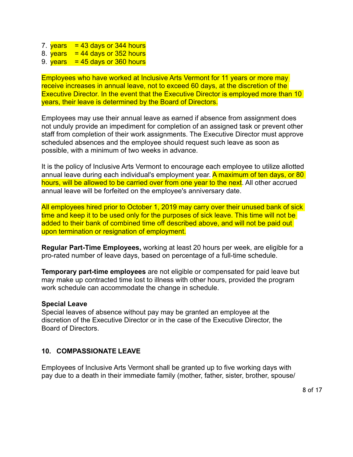- 7.  $years = 43 days or 344 hours$
- 8. years  $= 44$  days or 352 hours
- 9.  $years = 45 days or 360 hours$

Employees who have worked at Inclusive Arts Vermont for 11 years or more may receive increases in annual leave, not to exceed 60 days, at the discretion of the Executive Director. In the event that the Executive Director is employed more than 10 years, their leave is determined by the Board of Directors.

Employees may use their annual leave as earned if absence from assignment does not unduly provide an impediment for completion of an assigned task or prevent other staff from completion of their work assignments. The Executive Director must approve scheduled absences and the employee should request such leave as soon as possible, with a minimum of two weeks in advance.

It is the policy of Inclusive Arts Vermont to encourage each employee to utilize allotted annual leave during each individual's employment year. A maximum of ten days, or 80 hours, will be allowed to be carried over from one year to the next. All other accrued annual leave will be forfeited on the employee's anniversary date.

All employees hired prior to October 1, 2019 may carry over their unused bank of sick time and keep it to be used only for the purposes of sick leave. This time will not be added to their bank of combined time off described above, and will not be paid out upon termination or resignation of employment.

**Regular Part-Time Employees,** working at least 20 hours per week, are eligible for a pro-rated number of leave days, based on percentage of a full-time schedule.

**Temporary part-time employees** are not eligible or compensated for paid leave but may make up contracted time lost to illness with other hours, provided the program work schedule can accommodate the change in schedule.

### **Special Leave**

Special leaves of absence without pay may be granted an employee at the discretion of the Executive Director or in the case of the Executive Director, the Board of Directors.

### **10. COMPASSIONATE LEAVE**

Employees of Inclusive Arts Vermont shall be granted up to five working days with pay due to a death in their immediate family (mother, father, sister, brother, spouse/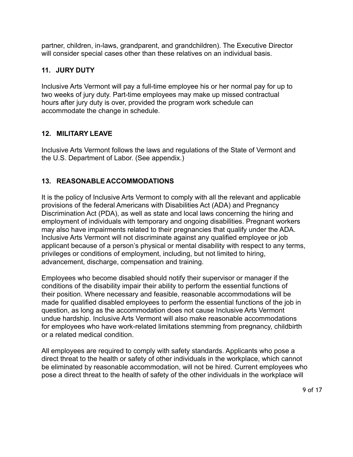partner, children, in-laws, grandparent, and grandchildren). The Executive Director will consider special cases other than these relatives on an individual basis.

### **11. JURY DUTY**

Inclusive Arts Vermont will pay a full-time employee his or her normal pay for up to two weeks of jury duty. Part-time employees may make up missed contractual hours after jury duty is over, provided the program work schedule can accommodate the change in schedule.

## **12. MILITARY LEAVE**

Inclusive Arts Vermont follows the laws and regulations of the State of Vermont and the U.S. Department of Labor. (See appendix.)

# **13. REASONABLE ACCOMMODATIONS**

It is the policy of Inclusive Arts Vermont to comply with all the relevant and applicable provisions of the federal Americans with Disabilities Act (ADA) and Pregnancy Discrimination Act (PDA), as well as state and local laws concerning the hiring and employment of individuals with temporary and ongoing disabilities. Pregnant workers may also have impairments related to their pregnancies that qualify under the ADA. Inclusive Arts Vermont will not discriminate against any qualified employee or job applicant because of a person's physical or mental disability with respect to any terms, privileges or conditions of employment, including, but not limited to hiring, advancement, discharge, compensation and training.

Employees who become disabled should notify their supervisor or manager if the conditions of the disability impair their ability to perform the essential functions of their position. Where necessary and feasible, reasonable accommodations will be made for qualified disabled employees to perform the essential functions of the job in question, as long as the accommodation does not cause Inclusive Arts Vermont undue hardship. Inclusive Arts Vermont will also make reasonable accommodations for employees who have work-related limitations stemming from pregnancy, childbirth or a related medical condition.

All employees are required to comply with safety standards. Applicants who pose a direct threat to the health or safety of other individuals in the workplace, which cannot be eliminated by reasonable accommodation, will not be hired. Current employees who pose a direct threat to the health of safety of the other individuals in the workplace will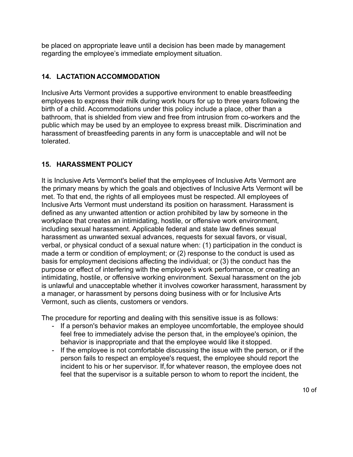be placed on appropriate leave until a decision has been made by management regarding the employee's immediate employment situation.

## **14. LACTATION ACCOMMODATION**

Inclusive Arts Vermont provides a supportive environment to enable breastfeeding employees to express their milk during work hours for up to three years following the birth of a child. Accommodations under this policy include a place, other than a bathroom, that is shielded from view and free from intrusion from co-workers and the public which may be used by an employee to express breast milk. Discrimination and harassment of breastfeeding parents in any form is unacceptable and will not be tolerated.

## **15. HARASSMENT POLICY**

It is Inclusive Arts Vermont's belief that the employees of Inclusive Arts Vermont are the primary means by which the goals and objectives of Inclusive Arts Vermont will be met. To that end, the rights of all employees must be respected. All employees of Inclusive Arts Vermont must understand its position on harassment. Harassment is defined as any unwanted attention or action prohibited by law by someone in the workplace that creates an intimidating, hostile, or offensive work environment, including sexual harassment. Applicable federal and state law defines sexual harassment as unwanted sexual advances, requests for sexual favors, or visual, verbal, or physical conduct of a sexual nature when: (1) participation in the conduct is made a term or condition of employment; or (2) response to the conduct is used as basis for employment decisions affecting the individual; or (3) the conduct has the purpose or effect of interfering with the employee's work performance, or creating an intimidating, hostile, or offensive working environment. Sexual harassment on the job is unlawful and unacceptable whether it involves coworker harassment, harassment by a manager, or harassment by persons doing business with or for Inclusive Arts Vermont, such as clients, customers or vendors.

The procedure for reporting and dealing with this sensitive issue is as follows:

- If a person's behavior makes an employee uncomfortable, the employee should feel free to immediately advise the person that, in the employee's opinion, the behavior is inappropriate and that the employee would like it stopped.
- If the employee is not comfortable discussing the issue with the person, or if the person fails to respect an employee's request, the employee should report the incident to his or her supervisor. If,for whatever reason, the employee does not feel that the supervisor is a suitable person to whom to report the incident, the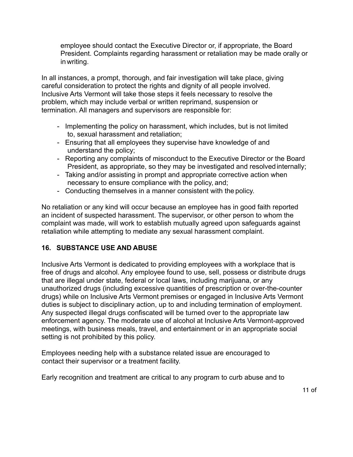employee should contact the Executive Director or, if appropriate, the Board President. Complaints regarding harassment or retaliation may be made orally or in writing.

In all instances, a prompt, thorough, and fair investigation will take place, giving careful consideration to protect the rights and dignity of all people involved. Inclusive Arts Vermont will take those steps it feels necessary to resolve the problem, which may include verbal or written reprimand, suspension or termination. All managers and supervisors are responsible for:

- Implementing the policy on harassment, which includes, but is not limited to, sexual harassment and retaliation;
- Ensuring that all employees they supervise have knowledge of and understand the policy;
- Reporting any complaints of misconduct to the Executive Director or the Board President, as appropriate, so they may be investigated and resolved internally;
- Taking and/or assisting in prompt and appropriate corrective action when necessary to ensure compliance with the policy, and;
- Conducting themselves in a manner consistent with the policy.

No retaliation or any kind will occur because an employee has in good faith reported an incident of suspected harassment. The supervisor, or other person to whom the complaint was made, will work to establish mutually agreed upon safeguards against retaliation while attempting to mediate any sexual harassment complaint.

### **16. SUBSTANCE USE AND ABUSE**

Inclusive Arts Vermont is dedicated to providing employees with a workplace that is free of drugs and alcohol. Any employee found to use, sell, possess or distribute drugs that are illegal under state, federal or local laws, including marijuana, or any unauthorized drugs (including excessive quantities of prescription or over-the-counter drugs) while on Inclusive Arts Vermont premises or engaged in Inclusive Arts Vermont duties is subject to disciplinary action, up to and including termination of employment. Any suspected illegal drugs confiscated will be turned over to the appropriate law enforcement agency. The moderate use of alcohol at Inclusive Arts Vermont-approved meetings, with business meals, travel, and entertainment or in an appropriate social setting is not prohibited by this policy.

Employees needing help with a substance related issue are encouraged to contact their supervisor or a treatment facility.

Early recognition and treatment are critical to any program to curb abuse and to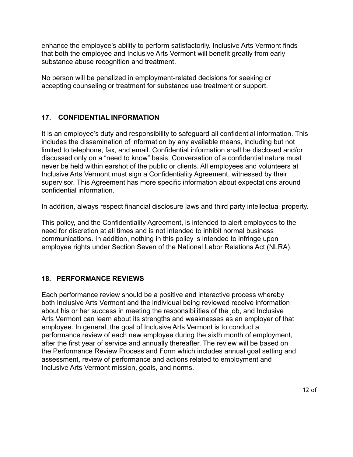enhance the employee's ability to perform satisfactorily. Inclusive Arts Vermont finds that both the employee and Inclusive Arts Vermont will benefit greatly from early substance abuse recognition and treatment.

No person will be penalized in employment-related decisions for seeking or accepting counseling or treatment for substance use treatment or support.

### **17. CONFIDENTIAL INFORMATION**

It is an employee's duty and responsibility to safeguard all confidential information. This includes the dissemination of information by any available means, including but not limited to telephone, fax, and email. Confidential information shall be disclosed and/or discussed only on a "need to know" basis. Conversation of a confidential nature must never be held within earshot of the public or clients. All employees and volunteers at Inclusive Arts Vermont must sign a Confidentiality Agreement, witnessed by their supervisor. This Agreement has more specific information about expectations around confidential information.

In addition, always respect financial disclosure laws and third party intellectual property.

This policy, and the Confidentiality Agreement, is intended to alert employees to the need for discretion at all times and is not intended to inhibit normal business communications. In addition, nothing in this policy is intended to infringe upon employee rights under Section Seven of the National Labor Relations Act (NLRA).

### **18. PERFORMANCE REVIEWS**

Each performance review should be a positive and interactive process whereby both Inclusive Arts Vermont and the individual being reviewed receive information about his or her success in meeting the responsibilities of the job, and Inclusive Arts Vermont can learn about its strengths and weaknesses as an employer of that employee. In general, the goal of Inclusive Arts Vermont is to conduct a performance review of each new employee during the sixth month of employment, after the first year of service and annually thereafter. The review will be based on the Performance Review Process and Form which includes annual goal setting and assessment, review of performance and actions related to employment and Inclusive Arts Vermont mission, goals, and norms.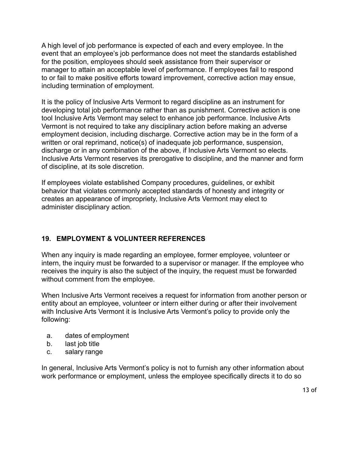A high level of job performance is expected of each and every employee. In the event that an employee's job performance does not meet the standards established for the position, employees should seek assistance from their supervisor or manager to attain an acceptable level of performance. If employees fail to respond to or fail to make positive efforts toward improvement, corrective action may ensue, including termination of employment.

It is the policy of Inclusive Arts Vermont to regard discipline as an instrument for developing total job performance rather than as punishment. Corrective action is one tool Inclusive Arts Vermont may select to enhance job performance. Inclusive Arts Vermont is not required to take any disciplinary action before making an adverse employment decision, including discharge. Corrective action may be in the form of a written or oral reprimand, notice(s) of inadequate job performance, suspension, discharge or in any combination of the above, if Inclusive Arts Vermont so elects. Inclusive Arts Vermont reserves its prerogative to discipline, and the manner and form of discipline, at its sole discretion.

If employees violate established Company procedures, guidelines, or exhibit behavior that violates commonly accepted standards of honesty and integrity or creates an appearance of impropriety, Inclusive Arts Vermont may elect to administer disciplinary action.

### **19. EMPLOYMENT & VOLUNTEER REFERENCES**

When any inquiry is made regarding an employee, former employee, volunteer or intern, the inquiry must be forwarded to a supervisor or manager. If the employee who receives the inquiry is also the subject of the inquiry, the request must be forwarded without comment from the employee.

When Inclusive Arts Vermont receives a request for information from another person or entity about an employee, volunteer or intern either during or after their involvement with Inclusive Arts Vermont it is Inclusive Arts Vermont's policy to provide only the following:

- a. dates of employment
- b. last job title
- c. salary range

In general, Inclusive Arts Vermont's policy is not to furnish any other information about work performance or employment, unless the employee specifically directs it to do so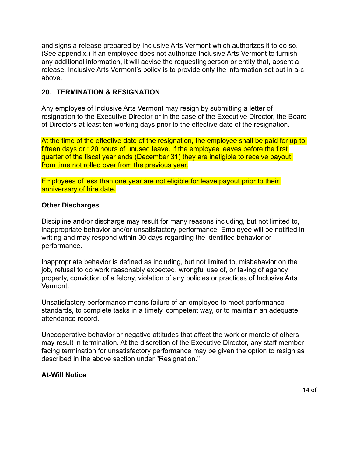and signs a release prepared by Inclusive Arts Vermont which authorizes it to do so. (See appendix.) If an employee does not authorize Inclusive Arts Vermont to furnish any additional information, it will advise the requestingperson or entity that, absent a release, Inclusive Arts Vermont's policy is to provide only the information set out in a-c above.

#### **20. TERMINATION & RESIGNATION**

Any employee of Inclusive Arts Vermont may resign by submitting a letter of resignation to the Executive Director or in the case of the Executive Director, the Board of Directors at least ten working days prior to the effective date of the resignation.

At the time of the effective date of the resignation, the employee shall be paid for up to fifteen days or 120 hours of unused leave. If the employee leaves before the first quarter of the fiscal year ends (December 31) they are ineligible to receive payout from time not rolled over from the previous year.

Employees of less than one year are not eligible for leave payout prior to their anniversary of hire date.

#### **Other Discharges**

Discipline and/or discharge may result for many reasons including, but not limited to, inappropriate behavior and/or unsatisfactory performance. Employee will be notified in writing and may respond within 30 days regarding the identified behavior or performance.

Inappropriate behavior is defined as including, but not limited to, misbehavior on the job, refusal to do work reasonably expected, wrongful use of, or taking of agency property, conviction of a felony, violation of any policies or practices of Inclusive Arts Vermont.

Unsatisfactory performance means failure of an employee to meet performance standards, to complete tasks in a timely, competent way, or to maintain an adequate attendance record.

Uncooperative behavior or negative attitudes that affect the work or morale of others may result in termination. At the discretion of the Executive Director, any staff member facing termination for unsatisfactory performance may be given the option to resign as described in the above section under "Resignation."

#### **At-Will Notice**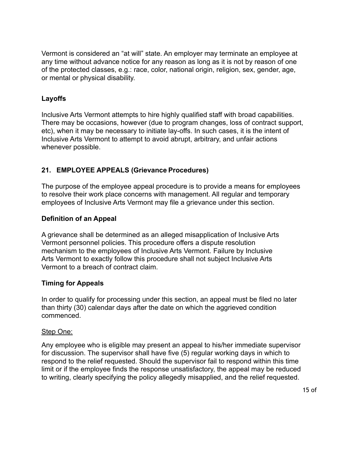Vermont is considered an "at will" state. An employer may terminate an employee at any time without advance notice for any reason as long as it is not by reason of one of the protected classes, e.g.: race, color, national origin, religion, sex, gender, age, or mental or physical disability.

### **Layoffs**

Inclusive Arts Vermont attempts to hire highly qualified staff with broad capabilities. There may be occasions, however (due to program changes, loss of contract support, etc), when it may be necessary to initiate lay-offs. In such cases, it is the intent of Inclusive Arts Vermont to attempt to avoid abrupt, arbitrary, and unfair actions whenever possible.

### **21. EMPLOYEE APPEALS (Grievance Procedures)**

The purpose of the employee appeal procedure is to provide a means for employees to resolve their work place concerns with management. All regular and temporary employees of Inclusive Arts Vermont may file a grievance under this section.

### **Definition of an Appeal**

A grievance shall be determined as an alleged misapplication of Inclusive Arts Vermont personnel policies. This procedure offers a dispute resolution mechanism to the employees of Inclusive Arts Vermont. Failure by Inclusive Arts Vermont to exactly follow this procedure shall not subject Inclusive Arts Vermont to a breach of contract claim.

### **Timing for Appeals**

In order to qualify for processing under this section, an appeal must be filed no later than thirty (30) calendar days after the date on which the aggrieved condition commenced.

#### Step One:

Any employee who is eligible may present an appeal to his/her immediate supervisor for discussion. The supervisor shall have five (5) regular working days in which to respond to the relief requested. Should the supervisor fail to respond within this time limit or if the employee finds the response unsatisfactory, the appeal may be reduced to writing, clearly specifying the policy allegedly misapplied, and the relief requested.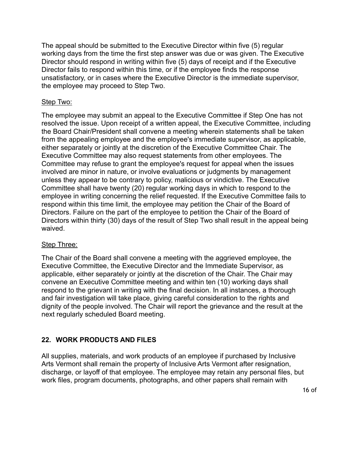The appeal should be submitted to the Executive Director within five (5) regular working days from the time the first step answer was due or was given. The Executive Director should respond in writing within five (5) days of receipt and if the Executive Director fails to respond within this time, or if the employee finds the response unsatisfactory, or in cases where the Executive Director is the immediate supervisor, the employee may proceed to Step Two.

### Step Two:

The employee may submit an appeal to the Executive Committee if Step One has not resolved the issue. Upon receipt of a written appeal, the Executive Committee, including the Board Chair/President shall convene a meeting wherein statements shall be taken from the appealing employee and the employee's immediate supervisor, as applicable, either separately or jointly at the discretion of the Executive Committee Chair. The Executive Committee may also request statements from other employees. The Committee may refuse to grant the employee's request for appeal when the issues involved are minor in nature, or involve evaluations or judgments by management unless they appear to be contrary to policy, malicious or vindictive. The Executive Committee shall have twenty (20) regular working days in which to respond to the employee in writing concerning the relief requested. If the Executive Committee fails to respond within this time limit, the employee may petition the Chair of the Board of Directors. Failure on the part of the employee to petition the Chair of the Board of Directors within thirty (30) days of the result of Step Two shall result in the appeal being waived.

### Step Three:

The Chair of the Board shall convene a meeting with the aggrieved employee, the Executive Committee, the Executive Director and the Immediate Supervisor, as applicable, either separately or jointly at the discretion of the Chair. The Chair may convene an Executive Committee meeting and within ten (10) working days shall respond to the grievant in writing with the final decision. In all instances, a thorough and fair investigation will take place, giving careful consideration to the rights and dignity of the people involved. The Chair will report the grievance and the result at the next regularly scheduled Board meeting.

# **22. WORK PRODUCTS AND FILES**

All supplies, materials, and work products of an employee if purchased by Inclusive Arts Vermont shall remain the property of Inclusive Arts Vermont after resignation, discharge, or layoff of that employee. The employee may retain any personal files, but work files, program documents, photographs, and other papers shall remain with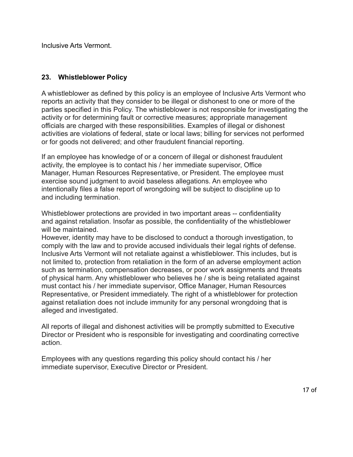Inclusive Arts Vermont.

### **23. Whistleblower Policy**

A whistleblower as defined by this policy is an employee of Inclusive Arts Vermont who reports an activity that they consider to be illegal or dishonest to one or more of the parties specified in this Policy. The whistleblower is not responsible for investigating the activity or for determining fault or corrective measures; appropriate management officials are charged with these responsibilities. Examples of illegal or dishonest activities are violations of federal, state or local laws; billing for services not performed or for goods not delivered; and other fraudulent financial reporting.

If an employee has knowledge of or a concern of illegal or dishonest fraudulent activity, the employee is to contact his / her immediate supervisor, Office Manager, Human Resources Representative, or President. The employee must exercise sound judgment to avoid baseless allegations. An employee who intentionally files a false report of wrongdoing will be subject to discipline up to and including termination.

Whistleblower protections are provided in two important areas -- confidentiality and against retaliation. Insofar as possible, the confidentiality of the whistleblower will be maintained.

However, identity may have to be disclosed to conduct a thorough investigation, to comply with the law and to provide accused individuals their legal rights of defense. Inclusive Arts Vermont will not retaliate against a whistleblower. This includes, but is not limited to, protection from retaliation in the form of an adverse employment action such as termination, compensation decreases, or poor work assignments and threats of physical harm. Any whistleblower who believes he / she is being retaliated against must contact his / her immediate supervisor, Office Manager, Human Resources Representative, or President immediately. The right of a whistleblower for protection against retaliation does not include immunity for any personal wrongdoing that is alleged and investigated.

All reports of illegal and dishonest activities will be promptly submitted to Executive Director or President who is responsible for investigating and coordinating corrective action.

Employees with any questions regarding this policy should contact his / her immediate supervisor, Executive Director or President.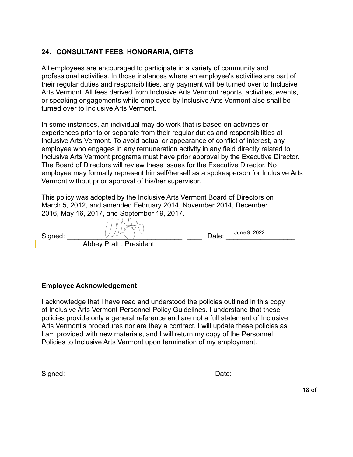### **24. CONSULTANT FEES, HONORARIA, GIFTS**

All employees are encouraged to participate in a variety of community and professional activities. In those instances where an employee's activities are part of their regular duties and responsibilities, any payment will be turned over to Inclusive Arts Vermont. All fees derived from Inclusive Arts Vermont reports, activities, events, or speaking engagements while employed by Inclusive Arts Vermont also shall be turned over to Inclusive Arts Vermont.

In some instances, an individual may do work that is based on activities or experiences prior to or separate from their regular duties and responsibilities at Inclusive Arts Vermont. To avoid actual or appearance of conflict of interest, any employee who engages in any remuneration activity in any field directly related to Inclusive Arts Vermont programs must have prior approval by the Executive Director. The Board of Directors will review these issues for the Executive Director. No employee may formally represent himself/herself as a spokesperson for Inclusive Arts Vermont without prior approval of his/her supervisor.

This policy was adopted by the Inclusive Arts Vermont Board of Directors on March 5, 2012, and amended February 2014, November 2014, December 2016, May 16, 2017, and September 19, 2017.

| Signed: | and the company's company's | Date: | June 9, 2022 |  |
|---------|-----------------------------|-------|--------------|--|
|         | Abbey Pratt, President      |       |              |  |

### **Employee Acknowledgement**

I acknowledge that I have read and understood the policies outlined in this copy of Inclusive Arts Vermont Personnel Policy Guidelines. I understand that these policies provide only a general reference and are not a full statement of Inclusive Arts Vermont's procedures nor are they a contract. I will update these policies as I am provided with new materials, and I will return my copy of the Personnel Policies to Inclusive Arts Vermont upon termination of my employment.

Signed: University of Date: Date: Date: Date: Date: Date: Date: Date: Date: Date: Date: Date: Date: Date: Date: Date: Date: Date: Date: Date: Date: Date: Date: Date: Date: Date: Date: Date: Date: Date: Date: Date: Date: Da

| Date: |  |
|-------|--|
|       |  |

18 of